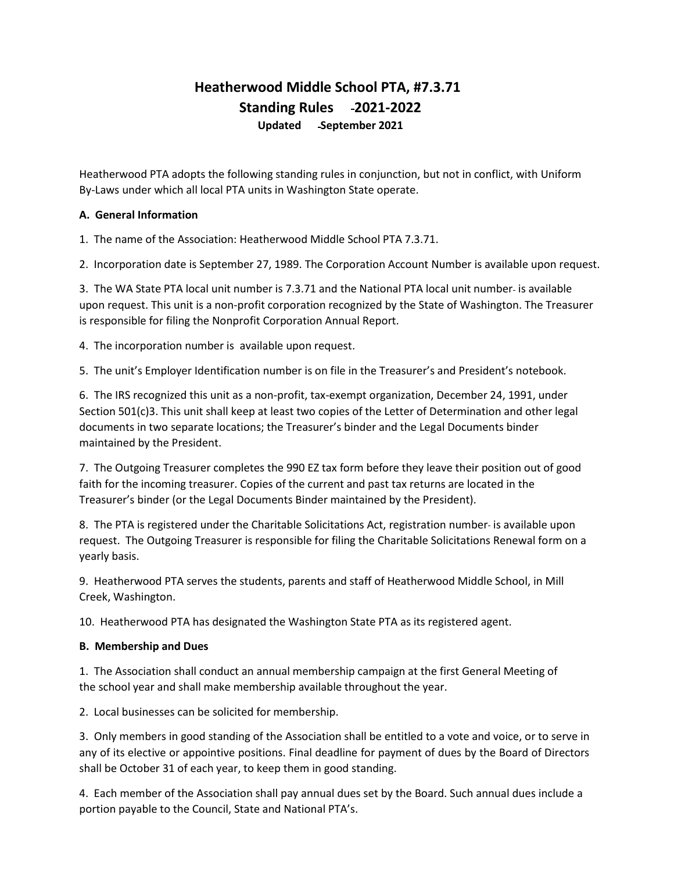# **Heatherwood Middle School PTA, #7.3.71 Standing Rules 2021-2022 Updated September 2021**

Heatherwood PTA adopts the following standing rules in conjunction, but not in conflict, with Uniform By-Laws under which all local PTA units in Washington State operate.

# **A. General Information**

1. The name of the Association: Heatherwood Middle School PTA 7.3.71.

2. Incorporation date is September 27, 1989. The Corporation Account Number is available upon request.

3. The WA State PTA local unit number is 7.3.71 and the National PTA local unit number is available upon request. This unit is a non-profit corporation recognized by the State of Washington. The Treasurer is responsible for filing the Nonprofit Corporation Annual Report.

4. The incorporation number is available upon request.

5. The unit's Employer Identification number is on file in the Treasurer's and President's notebook.

6. The IRS recognized this unit as a non-profit, tax-exempt organization, December 24, 1991, under Section 501(c)3. This unit shall keep at least two copies of the Letter of Determination and other legal documents in two separate locations; the Treasurer's binder and the Legal Documents binder maintained by the President.

7. The Outgoing Treasurer completes the 990 EZ tax form before they leave their position out of good faith for the incoming treasurer. Copies of the current and past tax returns are located in the Treasurer's binder (or the Legal Documents Binder maintained by the President).

8. The PTA is registered under the Charitable Solicitations Act, registration number is available upon request. The Outgoing Treasurer is responsible for filing the Charitable Solicitations Renewal form on a yearly basis.

9. Heatherwood PTA serves the students, parents and staff of Heatherwood Middle School, in Mill Creek, Washington.

10. Heatherwood PTA has designated the Washington State PTA as its registered agent.

### **B. Membership and Dues**

1. The Association shall conduct an annual membership campaign at the first General Meeting of the school year and shall make membership available throughout the year.

2. Local businesses can be solicited for membership.

3. Only members in good standing of the Association shall be entitled to a vote and voice, or to serve in any of its elective or appointive positions. Final deadline for payment of dues by the Board of Directors shall be October 31 of each year, to keep them in good standing.

4. Each member of the Association shall pay annual dues set by the Board. Such annual dues include a portion payable to the Council, State and National PTA's.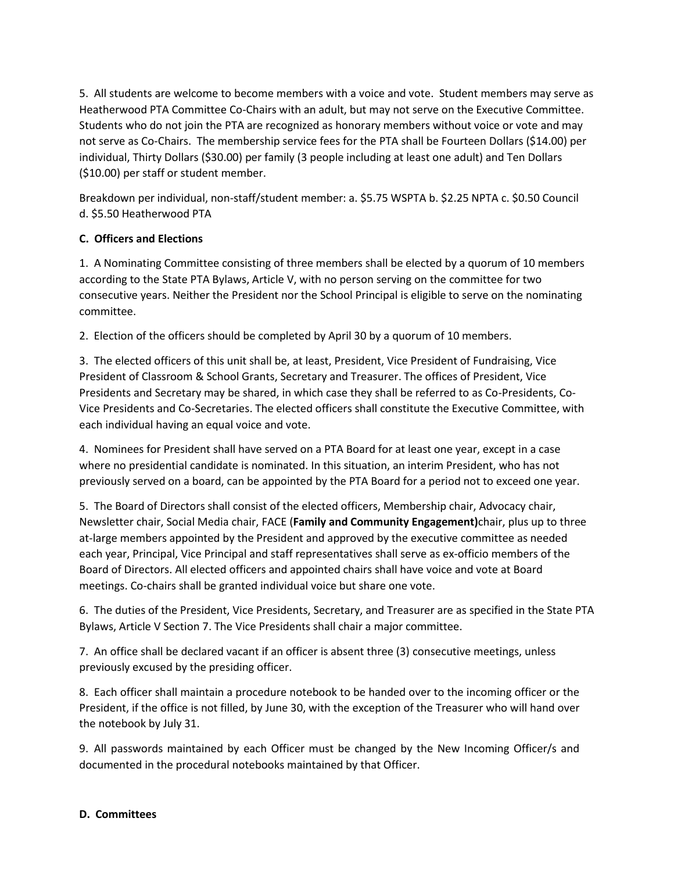5. All students are welcome to become members with a voice and vote. Student members may serve as Heatherwood PTA Committee Co-Chairs with an adult, but may not serve on the Executive Committee. Students who do not join the PTA are recognized as honorary members without voice or vote and may not serve as Co-Chairs. The membership service fees for the PTA shall be Fourteen Dollars (\$14.00) per individual, Thirty Dollars (\$30.00) per family (3 people including at least one adult) and Ten Dollars (\$10.00) per staff or student member.

Breakdown per individual, non-staff/student member: a. \$5.75 WSPTA b. \$2.25 NPTA c. \$0.50 Council d. \$5.50 Heatherwood PTA

# **C. Officers and Elections**

1. A Nominating Committee consisting of three members shall be elected by a quorum of 10 members according to the State PTA Bylaws, Article V, with no person serving on the committee for two consecutive years. Neither the President nor the School Principal is eligible to serve on the nominating committee.

2. Election of the officers should be completed by April 30 by a quorum of 10 members.

3. The elected officers of this unit shall be, at least, President, Vice President of Fundraising, Vice President of Classroom & School Grants, Secretary and Treasurer. The offices of President, Vice Presidents and Secretary may be shared, in which case they shall be referred to as Co-Presidents, Co-Vice Presidents and Co-Secretaries. The elected officers shall constitute the Executive Committee, with each individual having an equal voice and vote.

4. Nominees for President shall have served on a PTA Board for at least one year, except in a case where no presidential candidate is nominated. In this situation, an interim President, who has not previously served on a board, can be appointed by the PTA Board for a period not to exceed one year.

5. The Board of Directors shall consist of the elected officers, Membership chair, Advocacy chair, Newsletter chair, Social Media chair, FACE (**Family and Community Engagement)**chair, plus up to three at-large members appointed by the President and approved by the executive committee as needed each year, Principal, Vice Principal and staff representatives shall serve as ex-officio members of the Board of Directors. All elected officers and appointed chairs shall have voice and vote at Board meetings. Co-chairs shall be granted individual voice but share one vote.

6. The duties of the President, Vice Presidents, Secretary, and Treasurer are as specified in the State PTA Bylaws, Article V Section 7. The Vice Presidents shall chair a major committee.

7. An office shall be declared vacant if an officer is absent three (3) consecutive meetings, unless previously excused by the presiding officer.

8. Each officer shall maintain a procedure notebook to be handed over to the incoming officer or the President, if the office is not filled, by June 30, with the exception of the Treasurer who will hand over the notebook by July 31.

9. All passwords maintained by each Officer must be changed by the New Incoming Officer/s and documented in the procedural notebooks maintained by that Officer.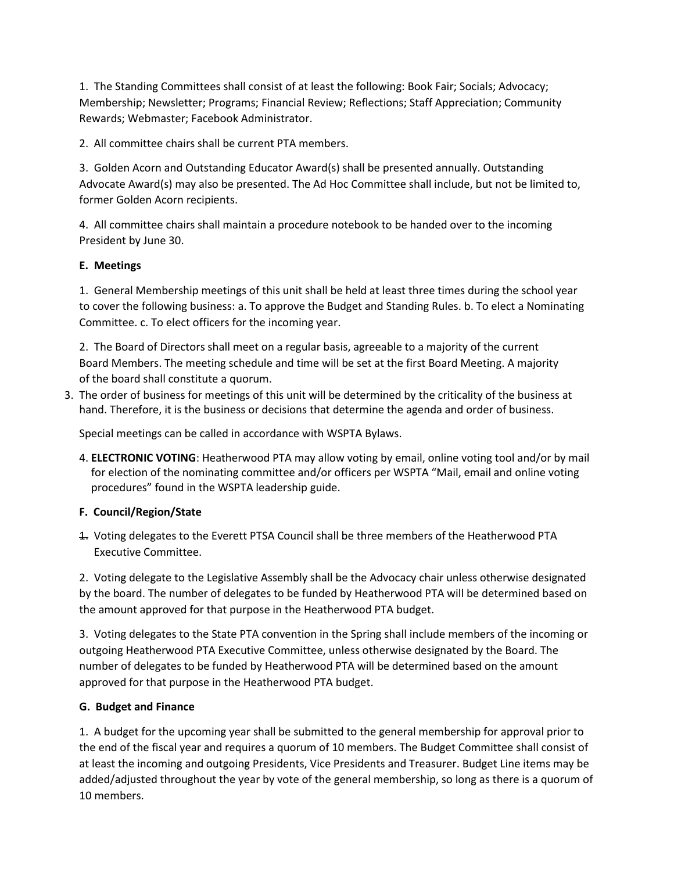1. The Standing Committees shall consist of at least the following: Book Fair; Socials; Advocacy; Membership; Newsletter; Programs; Financial Review; Reflections; Staff Appreciation; Community Rewards; Webmaster; Facebook Administrator.

2. All committee chairs shall be current PTA members.

3. Golden Acorn and Outstanding Educator Award(s) shall be presented annually. Outstanding Advocate Award(s) may also be presented. The Ad Hoc Committee shall include, but not be limited to, former Golden Acorn recipients.

4. All committee chairs shall maintain a procedure notebook to be handed over to the incoming President by June 30.

# **E. Meetings**

1. General Membership meetings of this unit shall be held at least three times during the school year to cover the following business: a. To approve the Budget and Standing Rules. b. To elect a Nominating Committee. c. To elect officers for the incoming year.

2. The Board of Directors shall meet on a regular basis, agreeable to a majority of the current Board Members. The meeting schedule and time will be set at the first Board Meeting. A majority of the board shall constitute a quorum.

3. The order of business for meetings of this unit will be determined by the criticality of the business at hand. Therefore, it is the business or decisions that determine the agenda and order of business.

Special meetings can be called in accordance with WSPTA Bylaws.

4. **ELECTRONIC VOTING**: Heatherwood PTA may allow voting by email, online voting tool and/or by mail for election of the nominating committee and/or officers per WSPTA "Mail, email and online voting procedures" found in the WSPTA leadership guide.

# **F. Council/Region/State**

1. Voting delegates to the Everett PTSA Council shall be three members of the Heatherwood PTA Executive Committee.

2. Voting delegate to the Legislative Assembly shall be the Advocacy chair unless otherwise designated by the board. The number of delegates to be funded by Heatherwood PTA will be determined based on the amount approved for that purpose in the Heatherwood PTA budget.

3. Voting delegates to the State PTA convention in the Spring shall include members of the incoming or outgoing Heatherwood PTA Executive Committee, unless otherwise designated by the Board. The number of delegates to be funded by Heatherwood PTA will be determined based on the amount approved for that purpose in the Heatherwood PTA budget.

### **G. Budget and Finance**

1. A budget for the upcoming year shall be submitted to the general membership for approval prior to the end of the fiscal year and requires a quorum of 10 members. The Budget Committee shall consist of at least the incoming and outgoing Presidents, Vice Presidents and Treasurer. Budget Line items may be added/adjusted throughout the year by vote of the general membership, so long as there is a quorum of 10 members.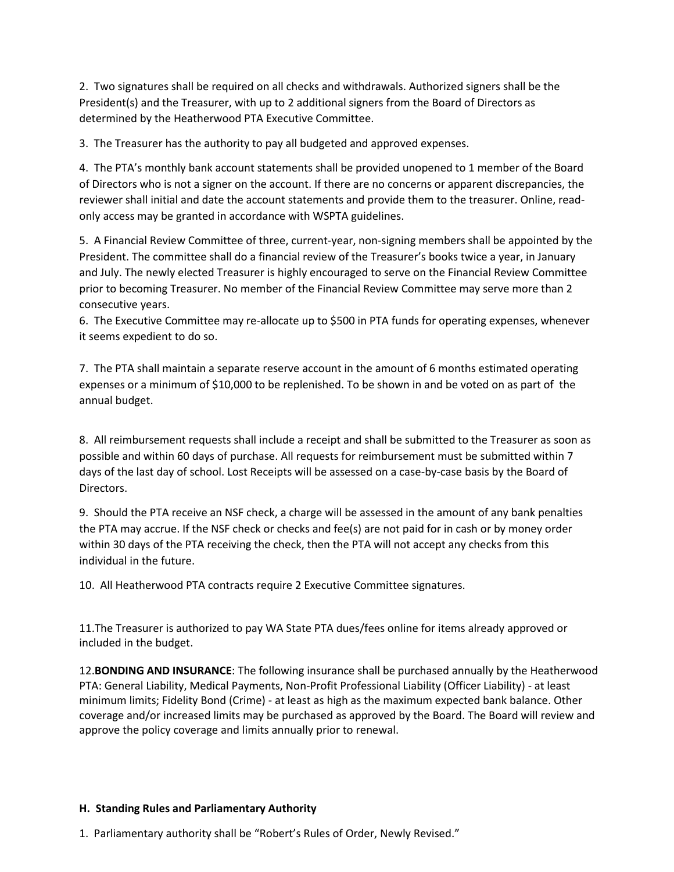2. Two signatures shall be required on all checks and withdrawals. Authorized signers shall be the President(s) and the Treasurer, with up to 2 additional signers from the Board of Directors as determined by the Heatherwood PTA Executive Committee.

3. The Treasurer has the authority to pay all budgeted and approved expenses.

4. The PTA's monthly bank account statements shall be provided unopened to 1 member of the Board of Directors who is not a signer on the account. If there are no concerns or apparent discrepancies, the reviewer shall initial and date the account statements and provide them to the treasurer. Online, readonly access may be granted in accordance with WSPTA guidelines.

5. A Financial Review Committee of three, current-year, non-signing members shall be appointed by the President. The committee shall do a financial review of the Treasurer's books twice a year, in January and July. The newly elected Treasurer is highly encouraged to serve on the Financial Review Committee prior to becoming Treasurer. No member of the Financial Review Committee may serve more than 2 consecutive years.

6. The Executive Committee may re-allocate up to \$500 in PTA funds for operating expenses, whenever it seems expedient to do so.

7. The PTA shall maintain a separate reserve account in the amount of 6 months estimated operating expenses or a minimum of \$10,000 to be replenished. To be shown in and be voted on as part of the annual budget.

8. All reimbursement requests shall include a receipt and shall be submitted to the Treasurer as soon as possible and within 60 days of purchase. All requests for reimbursement must be submitted within 7 days of the last day of school. Lost Receipts will be assessed on a case-by-case basis by the Board of Directors.

9. Should the PTA receive an NSF check, a charge will be assessed in the amount of any bank penalties the PTA may accrue. If the NSF check or checks and fee(s) are not paid for in cash or by money order within 30 days of the PTA receiving the check, then the PTA will not accept any checks from this individual in the future.

10. All Heatherwood PTA contracts require 2 Executive Committee signatures.

11.The Treasurer is authorized to pay WA State PTA dues/fees online for items already approved or included in the budget.

12.**BONDING AND INSURANCE**: The following insurance shall be purchased annually by the Heatherwood PTA: General Liability, Medical Payments, Non-Profit Professional Liability (Officer Liability) - at least minimum limits; Fidelity Bond (Crime) - at least as high as the maximum expected bank balance. Other coverage and/or increased limits may be purchased as approved by the Board. The Board will review and approve the policy coverage and limits annually prior to renewal.

### **H. Standing Rules and Parliamentary Authority**

1. Parliamentary authority shall be "Robert's Rules of Order, Newly Revised."